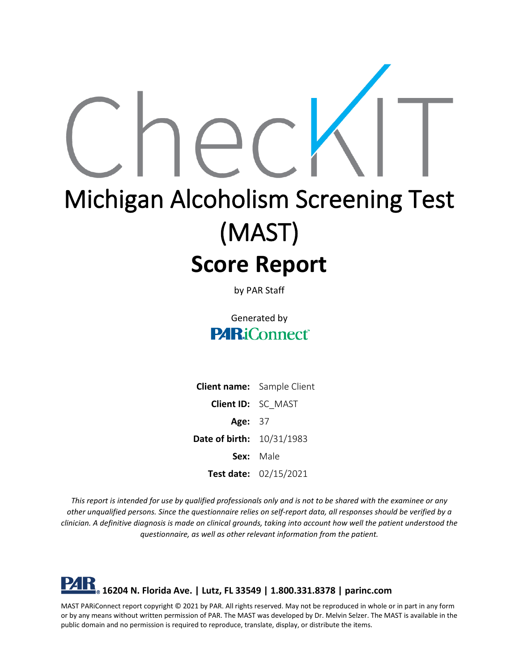

by PAR Staff

Generated by **PARiConnect** 

**Client name:** Sample Client **Client ID:** SC\_MAST **Age:** 37 **Date of birth:** 10/31/1983 **Sex:** Male **Test date:** 02/15/2021

*This report is intended for use by qualified professionals only and is not to be shared with the examinee or any other unqualified persons. Since the questionnaire relies on self-report data, all responses should be verified by a clinician. A definitive diagnosis is made on clinical grounds, taking into account how well the patient understood the questionnaire, as well as other relevant information from the patient.*

# **16204 N. Florida Ave. | Lutz, FL 33549 | 1.800.331.8378 | parinc.com**

MAST PARiConnect report copyright © 2021 by PAR. All rights reserved. May not be reproduced in whole or in part in any form or by any means without written permission of PAR. The MAST was developed by Dr. Melvin Selzer. The MAST is available in the public domain and no permission is required to reproduce, translate, display, or distribute the items.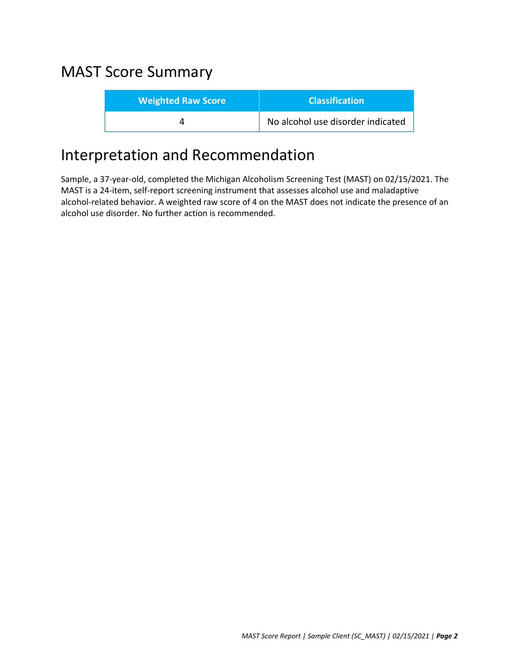# MAST Score Summary

| <b>Weighted Raw Score</b> | <b>Classification</b>             |
|---------------------------|-----------------------------------|
|                           | No alcohol use disorder indicated |

### Interpretation and Recommendation

Sample, a 37-year-old, completed the Michigan Alcoholism Screening Test (MAST) on 02/15/2021. The MAST is a 24-item, self-report screening instrument that assesses alcohol use and maladaptive alcohol-related behavior. A weighted raw score of 4 on the MAST does not indicate the presence of an alcohol use disorder. No further action is recommended.